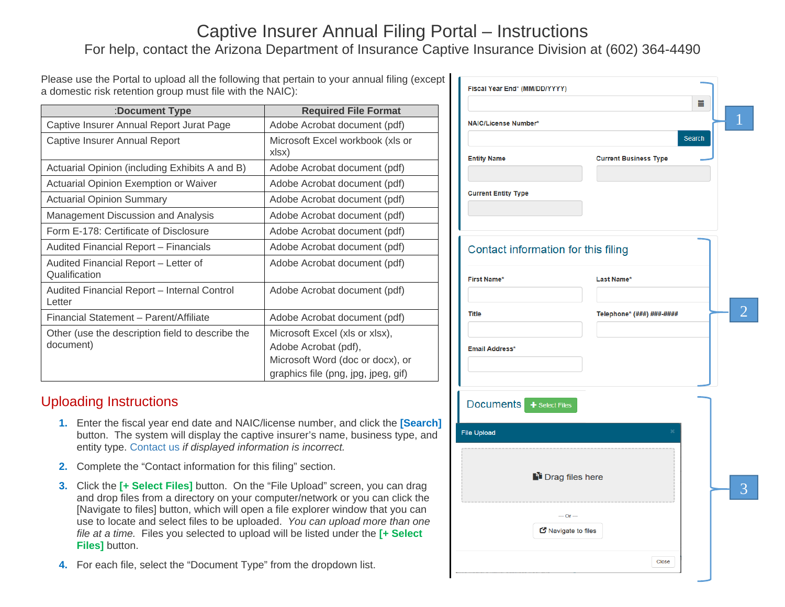## Captive Insurer Annual Filing Portal – Instructions For help, contact the Arizona Department of Insurance Captive Insurance Division at (602) 364-4490

Please use the Portal to upload all the following that pertain to your annual filing (except a domestic risk retention group must file with the NAIC):

| :Document Type                                                | <b>Required File Format</b>                                                                                                       |  |
|---------------------------------------------------------------|-----------------------------------------------------------------------------------------------------------------------------------|--|
| Captive Insurer Annual Report Jurat Page                      | Adobe Acrobat document (pdf)                                                                                                      |  |
| Captive Insurer Annual Report                                 | Microsoft Excel workbook (xls or<br>xlsx)                                                                                         |  |
| Actuarial Opinion (including Exhibits A and B)                | Adobe Acrobat document (pdf)                                                                                                      |  |
| <b>Actuarial Opinion Exemption or Waiver</b>                  | Adobe Acrobat document (pdf)                                                                                                      |  |
| <b>Actuarial Opinion Summary</b>                              | Adobe Acrobat document (pdf)                                                                                                      |  |
| Management Discussion and Analysis                            | Adobe Acrobat document (pdf)                                                                                                      |  |
| Form E-178: Certificate of Disclosure                         | Adobe Acrobat document (pdf)                                                                                                      |  |
| Audited Financial Report - Financials                         | Adobe Acrobat document (pdf)                                                                                                      |  |
| Audited Financial Report - Letter of<br>Qualification         | Adobe Acrobat document (pdf)                                                                                                      |  |
| Audited Financial Report - Internal Control<br>Letter         | Adobe Acrobat document (pdf)                                                                                                      |  |
| Financial Statement - Parent/Affiliate                        | Adobe Acrobat document (pdf)                                                                                                      |  |
| Other (use the description field to describe the<br>document) | Microsoft Excel (xls or xlsx),<br>Adobe Acrobat (pdf),<br>Microsoft Word (doc or docx), or<br>graphics file (png, jpg, jpeg, gif) |  |

## Uploading Instructions

- **1.** Enter the fiscal year end date and NAIC/license number, and click the **[Search]** button. The system will display the captive insurer's name, business type, and entity type. Contact us *if displayed information is incorrect.*
- **2.** Complete the "Contact information for this filing" section.
- **3.** Click the **[+ Select Files]** button. On the "File Upload" screen, you can drag and drop files from a directory on your computer/network or you can click the [Navigate to files] button, which will open a file explorer window that you can use to locate and select files to be uploaded. *You can upload more than one file at a time.* Files you selected to upload will be listed under the **[+ Select Files]** button.
- **4.** For each file, select the "Document Type" from the dropdown list.

| Fiscal Year End* (MM/DD/YYYY)<br><b>NAIC/License Number*</b> | m.<br>1<br>Search            |
|--------------------------------------------------------------|------------------------------|
| <b>Entity Name</b>                                           | <b>Current Business Type</b> |
| <b>Current Entity Type</b>                                   |                              |
| Contact information for this filing                          |                              |
| <b>First Name*</b>                                           | Last Name*                   |
| <b>Title</b>                                                 |                              |
|                                                              | Telephone* (###) ###-####    |
| <b>Email Address*</b>                                        |                              |
| Documents + Select Files                                     |                              |
| <b>File Upload</b>                                           | ×                            |
| lain Drag files here                                         | 3                            |
| $-$ Or $-$                                                   |                              |
| Navigate to files                                            |                              |
|                                                              | Close                        |